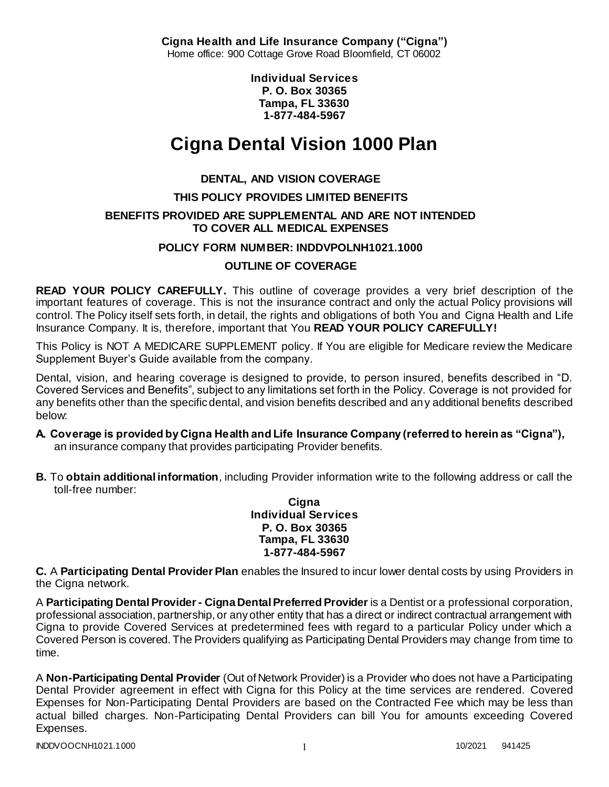**Cigna Health and Life Insurance Company ("Cigna")** Home office: 900 Cottage Grove Road Bloomfield, CT 06002

> **Individual Services P. O. Box 30365 Tampa, FL 33630 1-877-484-5967**

# **Cigna Dental Vision 1000 Plan**

### **DENTAL, AND VISION COVERAGE**

### **THIS POLICY PROVIDES LIMITED BENEFITS**

### **BENEFITS PROVIDED ARE SUPPLEMENTAL AND ARE NOT INTENDED TO COVER ALL MEDICAL EXPENSES**

### **POLICY FORM NUMBER: INDDVPOLNH1021.1000**

### **OUTLINE OF COVERAGE**

**READ YOUR POLICY CAREFULLY.** This outline of coverage provides a very brief description of the important features of coverage. This is not the insurance contract and only the actual Policy provisions will control. The Policy itself sets forth, in detail, the rights and obligations of both You and Cigna Health and Life Insurance Company. It is, therefore, important that You **READ YOUR POLICY CAREFULLY!** 

This Policy is NOT A MEDICARE SUPPLEMENT policy. If You are eligible for Medicare review the Medicare Supplement Buyer's Guide available from the company.

Dental, vision, and hearing coverage is designed to provide, to person insured, benefits described in "D. Covered Services and Benefits", subject to any limitations set forth in the Policy. Coverage is not provided for any benefits other than the specific dental, and vision benefits described and any additional benefits described below:

#### **A. Coverage is provided by Cigna Health and Life Insurance Company (referred to herein as "Cigna"),**  an insurance company that provides participating Provider benefits.

**B.** To **obtain additional information**, including Provider information write to the following address or call the toll-free number:

**Cigna Individual Services P. O. Box 30365 Tampa, FL 33630 1-877-484-5967**

**C.** A **Participating Dental Provider Plan** enables the Insured to incur lower dental costs by using Providers in the Cigna network.

A **Participating Dental Provider - Cigna Dental Preferred Provider** is a Dentist or a professional corporation, professional association, partnership, or any other entity that has a direct or indirect contractual arrangement with Cigna to provide Covered Services at predetermined fees with regard to a particular Policy under which a Covered Person is covered. The Providers qualifying as Participating Dental Providers may change from time to time.

A **Non-Participating Dental Provider** (Out of Network Provider) is a Provider who does not have a Participating Dental Provider agreement in effect with Cigna for this Policy at the time services are rendered. Covered Expenses for Non-Participating Dental Providers are based on the Contracted Fee which may be less than actual billed charges. Non-Participating Dental Providers can bill You for amounts exceeding Covered Expenses.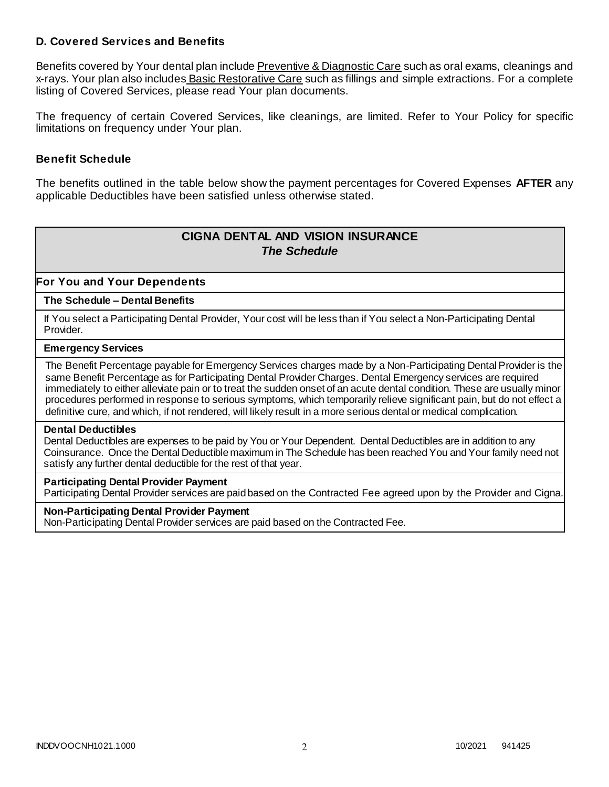### **D. Covered Services and Benefits**

Benefits covered by Your dental plan include Preventive & Diagnostic Care such as oral exams, cleanings and x-rays. Your plan also includes Basic Restorative Care such as fillings and simple extractions. For a complete listing of Covered Services, please read Your plan documents.

The frequency of certain Covered Services, like cleanings, are limited. Refer to Your Policy for specific limitations on frequency under Your plan.

### **Benefit Schedule**

The benefits outlined in the table below show the payment percentages for Covered Expenses **AFTER** any applicable Deductibles have been satisfied unless otherwise stated.

# **CIGNA DENTAL AND VISION INSURANCE** *The Schedule*

### **For You and Your Dependents**

#### **The Schedule – Dental Benefits**

If You select a Participating Dental Provider, Your cost will be less than if You select a Non-Participating Dental Provider.

#### **Emergency Services**

The Benefit Percentage payable for Emergency Services charges made by a Non-Participating Dental Provider is the same Benefit Percentage as for Participating Dental Provider Charges. Dental Emergency services are required immediately to either alleviate pain or to treat the sudden onset of an acute dental condition. These are usually minor procedures performed in response to serious symptoms, which temporarily relieve significant pain, but do not effect a definitive cure, and which, if not rendered, will likely result in a more serious dental or medical complication.

#### **Dental Deductibles**

Dental Deductibles are expenses to be paid by You or Your Dependent. Dental Deductibles are in addition to any Coinsurance. Once the Dental Deductible maximum in The Schedule has been reached You and Your family need not satisfy any further dental deductible for the rest of that year.

#### **Participating Dental Provider Payment**

Participating Dental Provider services are paid based on the Contracted Fee agreed upon by the Provider and Cigna.

#### **Non-Participating Dental Provider Payment**

Non-Participating Dental Provider services are paid based on the Contracted Fee.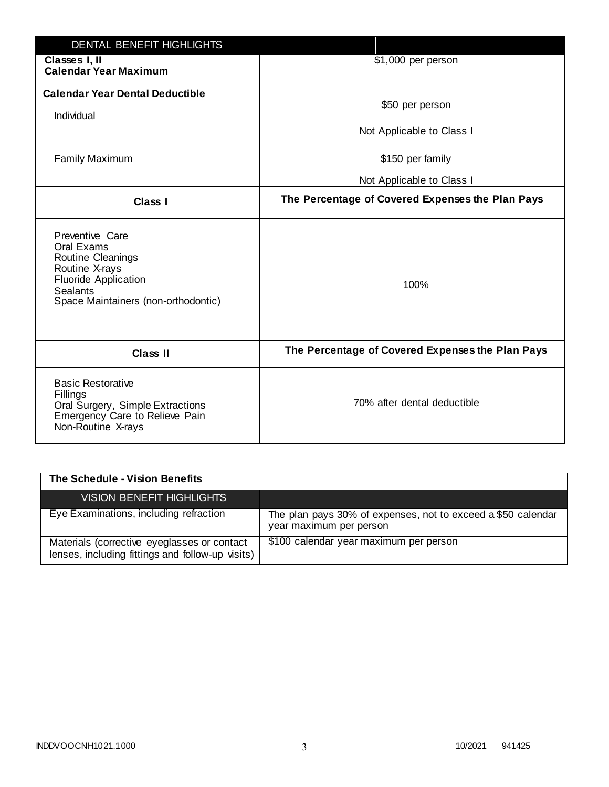| DENTAL BENEFIT HIGHLIGHTS                                                                                                                                     |                                                  |
|---------------------------------------------------------------------------------------------------------------------------------------------------------------|--------------------------------------------------|
| Classes I, II<br><b>Calendar Year Maximum</b>                                                                                                                 | \$1,000 per person                               |
| <b>Calendar Year Dental Deductible</b><br>Individual                                                                                                          | \$50 per person                                  |
|                                                                                                                                                               | Not Applicable to Class I                        |
| <b>Family Maximum</b>                                                                                                                                         | \$150 per family                                 |
|                                                                                                                                                               | Not Applicable to Class I                        |
| <b>Class I</b>                                                                                                                                                | The Percentage of Covered Expenses the Plan Pays |
| Preventive Care<br>Oral Exams<br>Routine Cleanings<br>Routine X-rays<br><b>Fluoride Application</b><br><b>Sealants</b><br>Space Maintainers (non-orthodontic) | 100%                                             |
| <b>Class II</b>                                                                                                                                               | The Percentage of Covered Expenses the Plan Pays |
| <b>Basic Restorative</b><br>Fillings<br>Oral Surgery, Simple Extractions<br>Emergency Care to Relieve Pain<br>Non-Routine X-rays                              | 70% after dental deductible                      |

| The Schedule - Vision Benefits                                                                  |                                                                                         |
|-------------------------------------------------------------------------------------------------|-----------------------------------------------------------------------------------------|
| <b>VISION BENEFIT HIGHLIGHTS</b>                                                                |                                                                                         |
| Eye Examinations, including refraction                                                          | The plan pays 30% of expenses, not to exceed a \$50 calendar<br>year maximum per person |
| Materials (corrective eyeglasses or contact<br>lenses, including fittings and follow-up visits) | \$100 calendar year maximum per person                                                  |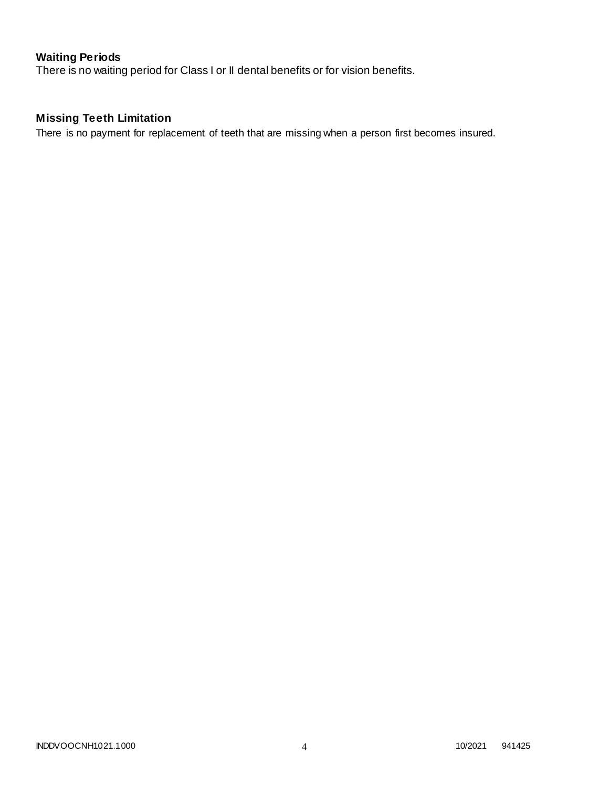# **Waiting Periods**

There is no waiting period for Class I or II dental benefits or for vision benefits.

# **Missing Teeth Limitation**

There is no payment for replacement of teeth that are missing when a person first becomes insured.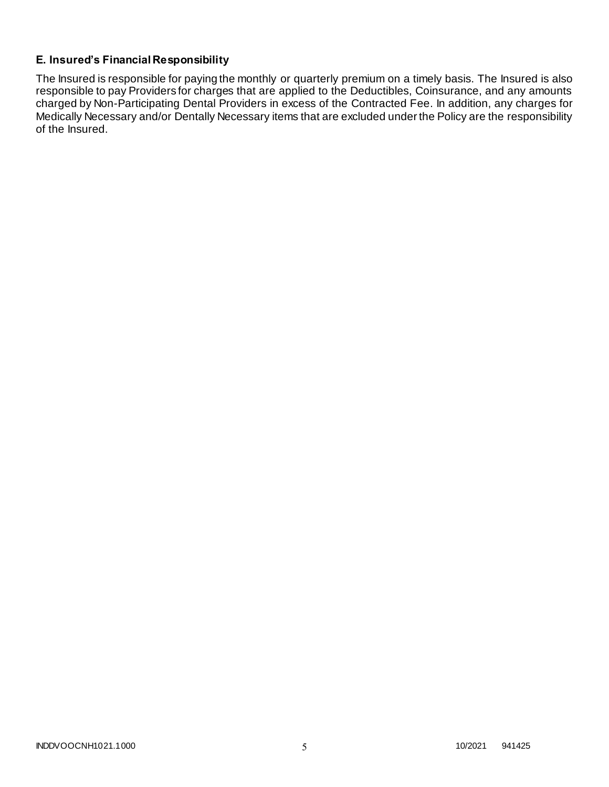### **E. Insured's Financial Responsibility**

The Insured is responsible for paying the monthly or quarterly premium on a timely basis. The Insured is also responsible to pay Providers for charges that are applied to the Deductibles, Coinsurance, and any amounts charged by Non-Participating Dental Providers in excess of the Contracted Fee. In addition, any charges for Medically Necessary and/or Dentally Necessary items that are excluded under the Policy are the responsibility of the Insured.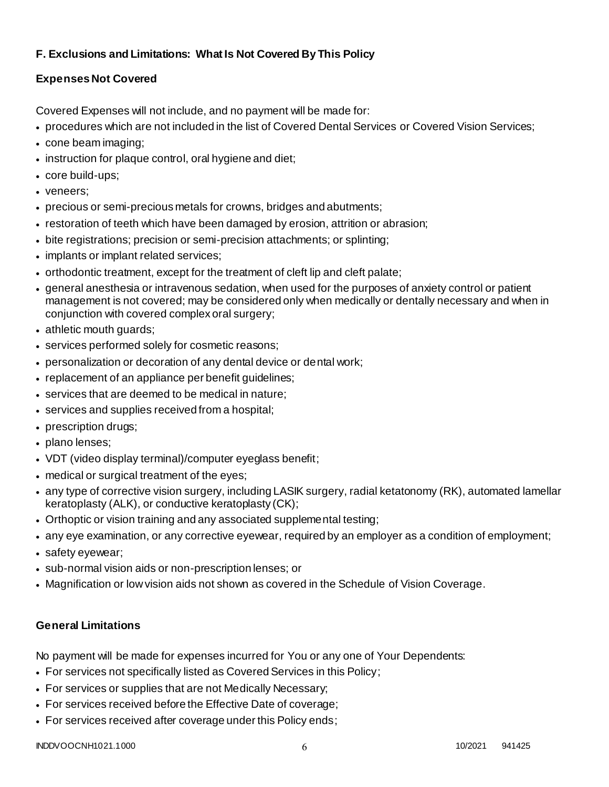# **F. Exclusions and Limitations: What Is Not Covered By This Policy**

# **Expenses Not Covered**

Covered Expenses will not include, and no payment will be made for:

- procedures which are not included in the list of Covered Dental Services or Covered Vision Services;
- cone beam imaging;
- instruction for plaque control, oral hygiene and diet;
- core build-ups;
- veneers;
- precious or semi-precious metals for crowns, bridges and abutments;
- restoration of teeth which have been damaged by erosion, attrition or abrasion;
- bite registrations; precision or semi-precision attachments; or splinting;
- implants or implant related services;
- orthodontic treatment, except for the treatment of cleft lip and cleft palate;
- general anesthesia or intravenous sedation, when used for the purposes of anxiety control or patient management is not covered; may be considered only when medically or dentally necessary and when in conjunction with covered complex oral surgery;
- athletic mouth guards;
- services performed solely for cosmetic reasons;
- personalization or decoration of any dental device or dental work;
- replacement of an appliance per benefit quidelines;
- services that are deemed to be medical in nature;
- services and supplies received from a hospital;
- prescription drugs;
- plano lenses;
- VDT (video display terminal)/computer eyeglass benefit;
- medical or surgical treatment of the eyes;
- any type of corrective vision surgery, including LASIK surgery, radial ketatonomy (RK), automated lamellar keratoplasty (ALK), or conductive keratoplasty (CK);
- Orthoptic or vision training and any associated supplemental testing;
- any eye examination, or any corrective eyewear, required by an employer as a condition of employment;
- safety eyewear;
- sub-normal vision aids or non-prescription lenses; or
- Magnification or low vision aids not shown as covered in the Schedule of Vision Coverage.

# **General Limitations**

No payment will be made for expenses incurred for You or any one of Your Dependents:

- For services not specifically listed as Covered Services in this Policy;
- For services or supplies that are not Medically Necessary;
- For services received before the Effective Date of coverage;
- For services received after coverage under this Policy ends;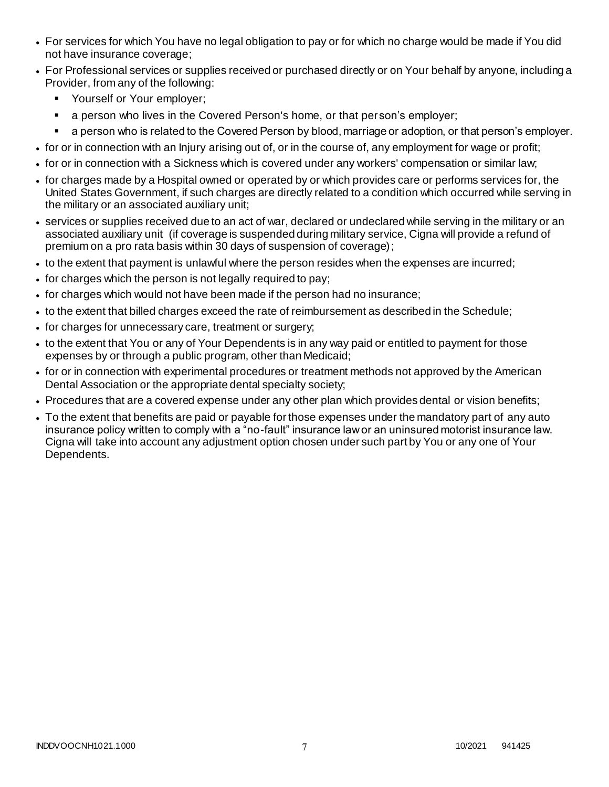- For services for which You have no legal obligation to pay or for which no charge would be made if You did not have insurance coverage;
- For Professional services or supplies received or purchased directly or on Your behalf by anyone, including a Provider, from any of the following:
	- **•** Yourself or Your employer;
	- a person who lives in the Covered Person's home, or that person's employer;
	- a person who is related to the Covered Person by blood, marriage or adoption, or that person's employer.
- for or in connection with an Injury arising out of, or in the course of, any employment for wage or profit;
- for or in connection with a Sickness which is covered under any workers' compensation or similar law;
- for charges made by a Hospital owned or operated by or which provides care or performs services for, the United States Government, if such charges are directly related to a condition which occurred while serving in the military or an associated auxiliary unit;
- services or supplies received due to an act of war, declared or undeclared while serving in the military or an associated auxiliary unit (if coverage is suspended during military service, Cigna will provide a refund of premium on a pro rata basis within 30 days of suspension of coverage);
- to the extent that payment is unlawful where the person resides when the expenses are incurred;
- for charges which the person is not legally required to pay;
- for charges which would not have been made if the person had no insurance;
- to the extent that billed charges exceed the rate of reimbursement as described in the Schedule;
- for charges for unnecessary care, treatment or surgery;
- to the extent that You or any of Your Dependents is in any way paid or entitled to payment for those expenses by or through a public program, other than Medicaid;
- for or in connection with experimental procedures or treatment methods not approved by the American Dental Association or the appropriate dental specialty society;
- Procedures that are a covered expense under any other plan which provides dental or vision benefits;
- To the extent that benefits are paid or payable for those expenses under the mandatory part of any auto insurance policy written to comply with a "no-fault" insurance law or an uninsured motorist insurance law. Cigna will take into account any adjustment option chosen under such part by You or any one of Your Dependents.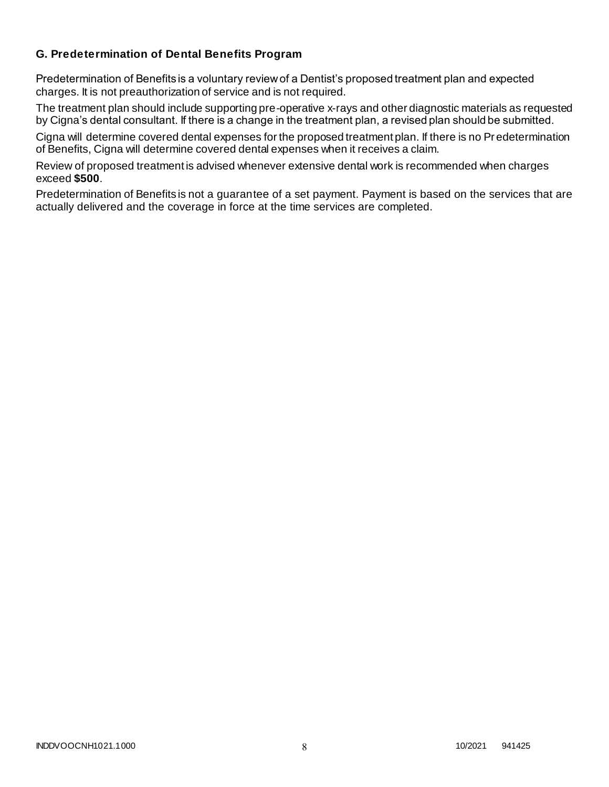### **G. Predetermination of Dental Benefits Program**

Predetermination of Benefits is a voluntary review of a Dentist's proposed treatment plan and expected charges. It is not preauthorization of service and is not required.

The treatment plan should include supporting pre-operative x-rays and other diagnostic materials as requested by Cigna's dental consultant. If there is a change in the treatment plan, a revised plan should be submitted.

Cigna will determine covered dental expenses for the proposed treatment plan. If there is no Pr edetermination of Benefits, Cigna will determine covered dental expenses when it receives a claim.

Review of proposed treatment is advised whenever extensive dental work is recommended when charges exceed **\$500**.

Predetermination of Benefits is not a guarantee of a set payment. Payment is based on the services that are actually delivered and the coverage in force at the time services are completed.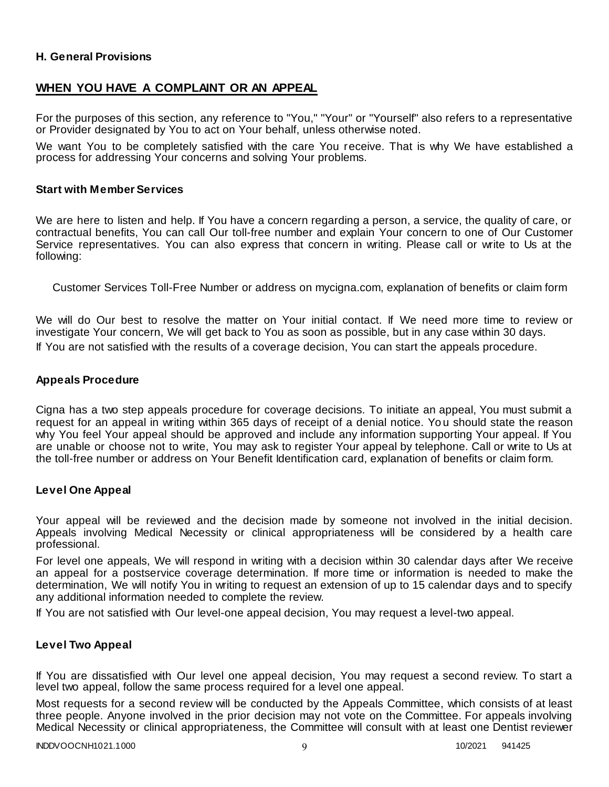### **H. General Provisions**

### **WHEN YOU HAVE A COMPLAINT OR AN APPEAL**

For the purposes of this section, any reference to "You," "Your" or "Yourself" also refers to a representative or Provider designated by You to act on Your behalf, unless otherwise noted.

We want You to be completely satisfied with the care You receive. That is why We have established a process for addressing Your concerns and solving Your problems.

#### **Start with Member Services**

We are here to listen and help. If You have a concern regarding a person, a service, the quality of care, or contractual benefits, You can call Our toll-free number and explain Your concern to one of Our Customer Service representatives. You can also express that concern in writing. Please call or write to Us at the following:

Customer Services Toll-Free Number or address on mycigna.com, explanation of benefits or claim form

We will do Our best to resolve the matter on Your initial contact. If We need more time to review or investigate Your concern, We will get back to You as soon as possible, but in any case within 30 days. If You are not satisfied with the results of a coverage decision, You can start the appeals procedure.

#### **Appeals Procedure**

Cigna has a two step appeals procedure for coverage decisions. To initiate an appeal, You must submit a request for an appeal in writing within 365 days of receipt of a denial notice. Yo u should state the reason why You feel Your appeal should be approved and include any information supporting Your appeal. If You are unable or choose not to write, You may ask to register Your appeal by telephone. Call or write to Us at the toll-free number or address on Your Benefit Identification card, explanation of benefits or claim form.

#### **Level One Appeal**

Your appeal will be reviewed and the decision made by someone not involved in the initial decision. Appeals involving Medical Necessity or clinical appropriateness will be considered by a health care professional.

For level one appeals, We will respond in writing with a decision within 30 calendar days after We receive an appeal for a postservice coverage determination. If more time or information is needed to make the determination, We will notify You in writing to request an extension of up to 15 calendar days and to specify any additional information needed to complete the review.

If You are not satisfied with Our level-one appeal decision, You may request a level-two appeal.

### **Level Two Appeal**

If You are dissatisfied with Our level one appeal decision, You may request a second review. To start a level two appeal, follow the same process required for a level one appeal.

Most requests for a second review will be conducted by the Appeals Committee, which consists of at least three people. Anyone involved in the prior decision may not vote on the Committee. For appeals involving Medical Necessity or clinical appropriateness, the Committee will consult with at least one Dentist reviewer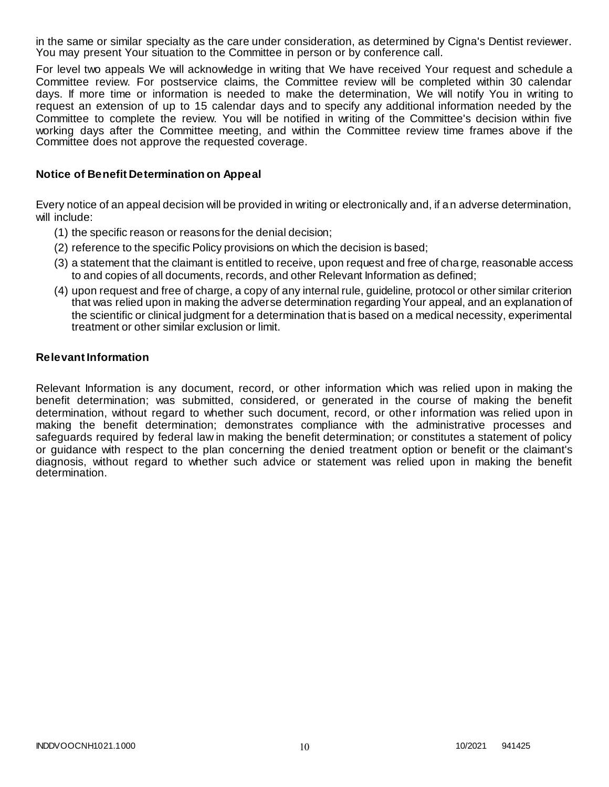in the same or similar specialty as the care under consideration, as determined by Cigna's Dentist reviewer. You may present Your situation to the Committee in person or by conference call.

For level two appeals We will acknowledge in writing that We have received Your request and schedule a Committee review. For postservice claims, the Committee review will be completed within 30 calendar days. If more time or information is needed to make the determination, We will notify You in writing to request an extension of up to 15 calendar days and to specify any additional information needed by the Committee to complete the review. You will be notified in writing of the Committee's decision within five working days after the Committee meeting, and within the Committee review time frames above if the Committee does not approve the requested coverage.

### **Notice of Benefit Determination on Appeal**

Every notice of an appeal decision will be provided in writing or electronically and, if an adverse determination, will include:

- (1) the specific reason or reasons for the denial decision;
- (2) reference to the specific Policy provisions on which the decision is based;
- (3) a statement that the claimant is entitled to receive, upon request and free of charge, reasonable access to and copies of all documents, records, and other Relevant Information as defined;
- (4) upon request and free of charge, a copy of any internal rule, guideline, protocol or other similar criterion that was relied upon in making the adverse determination regarding Your appeal, and an explanation of the scientific or clinical judgment for a determination that is based on a medical necessity, experimental treatment or other similar exclusion or limit.

### **Relevant Information**

Relevant Information is any document, record, or other information which was relied upon in making the benefit determination; was submitted, considered, or generated in the course of making the benefit determination, without regard to whether such document, record, or other information was relied upon in making the benefit determination; demonstrates compliance with the administrative processes and safeguards required by federal law in making the benefit determination; or constitutes a statement of policy or guidance with respect to the plan concerning the denied treatment option or benefit or the claimant's diagnosis, without regard to whether such advice or statement was relied upon in making the benefit determination.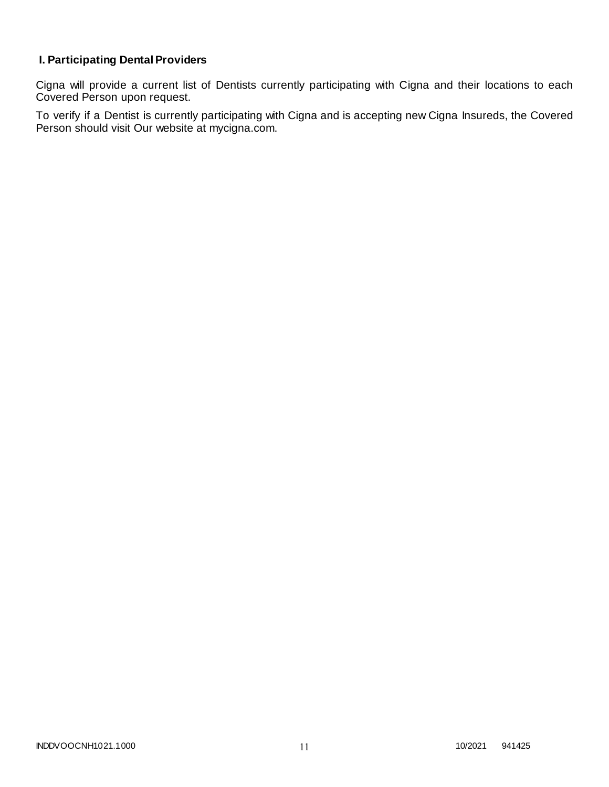# **I. Participating Dental Providers**

Cigna will provide a current list of Dentists currently participating with Cigna and their locations to each Covered Person upon request.

To verify if a Dentist is currently participating with Cigna and is accepting new Cigna Insureds, the Covered Person should visit Our website at mycigna.com.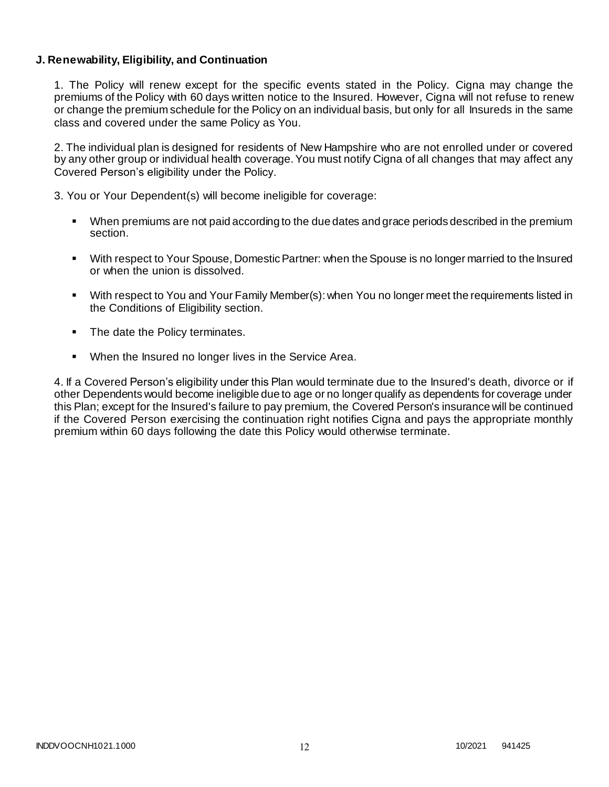### **J. Renewability, Eligibility, and Continuation**

1. The Policy will renew except for the specific events stated in the Policy. Cigna may change the premiums of the Policy with 60 days written notice to the Insured. However, Cigna will not refuse to renew or change the premium schedule for the Policy on an individual basis, but only for all Insureds in the same class and covered under the same Policy as You.

2. The individual plan is designed for residents of New Hampshire who are not enrolled under or covered by any other group or individual health coverage. You must notify Cigna of all changes that may affect any Covered Person's eligibility under the Policy.

3. You or Your Dependent(s) will become ineligible for coverage:

- When premiums are not paid according to the due dates and grace periods described in the premium section.
- With respect to Your Spouse, Domestic Partner: when the Spouse is no longer married to the Insured or when the union is dissolved.
- With respect to You and Your Family Member(s): when You no longer meet the requirements listed in the Conditions of Eligibility section.
- The date the Policy terminates.
- When the Insured no longer lives in the Service Area.

4. If a Covered Person's eligibility under this Plan would terminate due to the Insured's death, divorce or if other Dependents would become ineligible due to age or no longer qualify as dependents for coverage under this Plan; except for the Insured's failure to pay premium, the Covered Person's insurance will be continued if the Covered Person exercising the continuation right notifies Cigna and pays the appropriate monthly premium within 60 days following the date this Policy would otherwise terminate.